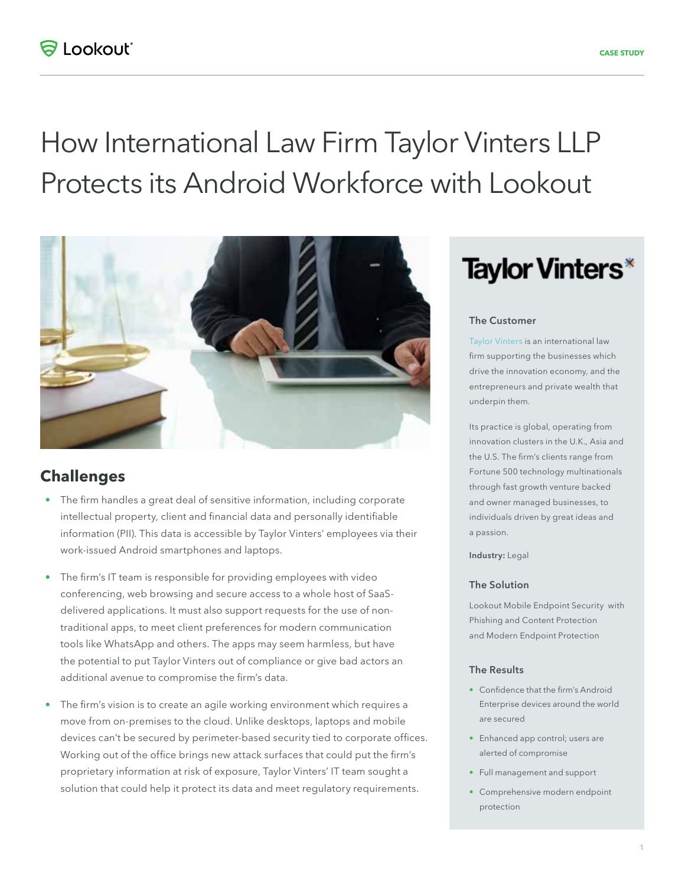# How International Law Firm Taylor Vinters LLP Protects its Android Workforce with Lookout



## **Challenges**

- The firm handles a great deal of sensitive information, including corporate intellectual property, client and financial data and personally identifiable information (PII). This data is accessible by Taylor Vinters' employees via their work-issued Android smartphones and laptops.
- The firm's IT team is responsible for providing employees with video conferencing, web browsing and secure access to a whole host of SaaSdelivered applications. It must also support requests for the use of nontraditional apps, to meet client preferences for modern communication tools like WhatsApp and others. The apps may seem harmless, but have the potential to put Taylor Vinters out of compliance or give bad actors an additional avenue to compromise the firm's data.
- The firm's vision is to create an agile working environment which requires a move from on-premises to the cloud. Unlike desktops, laptops and mobile devices can't be secured by perimeter-based security tied to corporate offices. Working out of the office brings new attack surfaces that could put the firm's proprietary information at risk of exposure, Taylor Vinters' IT team sought a solution that could help it protect its data and meet regulatory requirements.

# **Taylor Vinters\***

#### The Customer

[Taylor Vinters](https://www.taylorvinters.com/) is an international law firm supporting the businesses which drive the innovation economy, and the entrepreneurs and private wealth that underpin them.

Its practice is global, operating from innovation clusters in the U.K., Asia and the U.S. The firm's clients range from Fortune 500 technology multinationals through fast growth venture backed and owner managed businesses, to individuals driven by great ideas and a passion.

Industry: Legal

#### The Solution

Lookout Mobile Endpoint Security with Phishing and Content Protection and Modern Endpoint Protection

#### The Results

- Confidence that the firm's Android Enterprise devices around the world are secured
- Enhanced app control; users are alerted of compromise
- Full management and support
- Comprehensive modern endpoint protection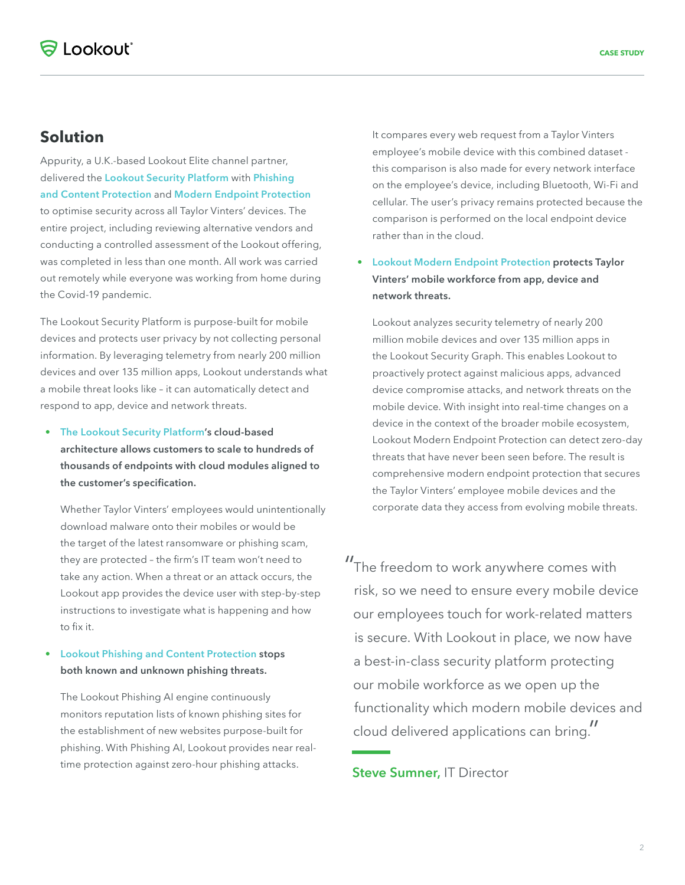## **Solution**

Appurity, a U.K.-based Lookout Elite channel partner, delivered the [Lookout Security Platform](https://www.lookout.com/products/platform) with Phishing [and Content Protection](https://www.lookout.com/products/phishing-and-content-protection) and [Modern Endpoint Protection](https://www.lookout.com/products/modern-endpoint-protection) to optimise security across all Taylor Vinters' devices. The entire project, including reviewing alternative vendors and conducting a controlled assessment of the Lookout offering, was completed in less than one month. All work was carried out remotely while everyone was working from home during the Covid-19 pandemic.

The Lookout Security Platform is purpose-built for mobile devices and protects user privacy by not collecting personal information. By leveraging telemetry from nearly 200 million devices and over 135 million apps, Lookout understands what a mobile threat looks like – it can automatically detect and respond to app, device and network threats.

• [The Lookout Security Platform'](https://www.lookout.com/products/platform)s cloud-based architecture allows customers to scale to hundreds of thousands of endpoints with cloud modules aligned to the customer's specification.

Whether Taylor Vinters' employees would unintentionally download malware onto their mobiles or would be the target of the latest ransomware or phishing scam, they are protected – the firm's IT team won't need to take any action. When a threat or an attack occurs, the Lookout app provides the device user with step-by-step instructions to investigate what is happening and how to fix it.

• [Lookout Phishing and Content Protection](https://www.lookout.com/products/phishing-and-content-protection) stops both known and unknown phishing threats.

The Lookout Phishing AI engine continuously monitors reputation lists of known phishing sites for the establishment of new websites purpose-built for phishing. With Phishing AI, Lookout provides near realtime protection against zero-hour phishing attacks.

It compares every web request from a Taylor Vinters employee's mobile device with this combined dataset this comparison is also made for every network interface on the employee's device, including Bluetooth, Wi-Fi and cellular. The user's privacy remains protected because the comparison is performed on the local endpoint device rather than in the cloud.

### • [Lookout Modern Endpoint Protection](https://www.lookout.com/products/modern-endpoint-protection) protects Taylor Vinters' mobile workforce from app, device and network threats.

Lookout analyzes security telemetry of nearly 200 million mobile devices and over 135 million apps in the Lookout Security Graph. This enables Lookout to proactively protect against malicious apps, advanced device compromise attacks, and network threats on the mobile device. With insight into real-time changes on a device in the context of the broader mobile ecosystem, Lookout Modern Endpoint Protection can detect zero-day threats that have never been seen before. The result is comprehensive modern endpoint protection that secures the Taylor Vinters' employee mobile devices and the corporate data they access from evolving mobile threats.

"The freedom to work anywhere comes with risk, so we need to ensure every mobile device our employees touch for work-related matters is secure. With Lookout in place, we now have a best-in-class security platform protecting our mobile workforce as we open up the functionality which modern mobile devices and cloud delivered applications can bring."

**Steve Sumner, IT Director**